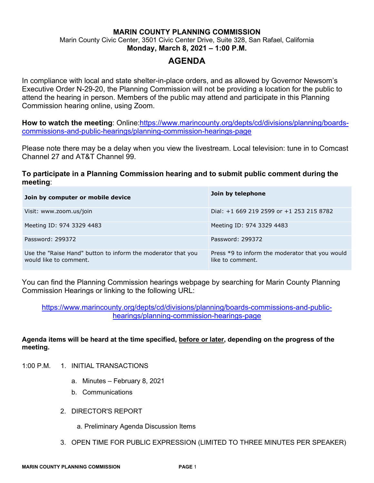# **MARIN COUNTY PLANNING COMMISSION** Marin County Civic Center, 3501 Civic Center Drive, Suite 328, San Rafael, California **Monday, March 8, 2021 – 1:00 P.M.**

# **AGENDA**

In compliance with local and state shelter-in-place orders, and as allowed by Governor Newsom's Executive Order N-29-20, the Planning Commission will not be providing a location for the public to attend the hearing in person. Members of the public may attend and participate in this Planning Commission hearing online, using Zoom.

**How to watch the meeting**: Online[:https://www.marincounty.org/depts/cd/divisions/planning/boards](https://www.marincounty.org/depts/cd/divisions/planning/boards-commissions-and-public-hearings/planning-commission-hearings-page)[commissions-and-public-hearings/planning-commission-hearings-page](https://www.marincounty.org/depts/cd/divisions/planning/boards-commissions-and-public-hearings/planning-commission-hearings-page) 

Please note there may be a delay when you view the livestream. Local television: tune in to Comcast Channel 27 and AT&T Channel 99.

# **To participate in a Planning Commission hearing and to submit public comment during the meeting**:

| Join by computer or mobile device                                                      | Join by telephone                                                   |
|----------------------------------------------------------------------------------------|---------------------------------------------------------------------|
| Visit: www.zoom.us/join                                                                | Dial: $+1$ 669 219 2599 or $+1$ 253 215 8782                        |
| Meeting ID: 974 3329 4483                                                              | Meeting ID: 974 3329 4483                                           |
| Password: 299372                                                                       | Password: 299372                                                    |
| Use the "Raise Hand" button to inform the moderator that you<br>would like to comment. | Press *9 to inform the moderator that you would<br>like to comment. |

You can find the Planning Commission hearings webpage by searching for Marin County Planning Commission Hearings or linking to the following URL:

[https://www.marincounty.org/depts/cd/divisions/planning/boards-commissions-and-public](https://www.marincounty.org/depts/cd/divisions/planning/boards-commissions-and-public-hearings/planning-commission-hearings-page)[hearings/planning-commission-hearings-page](https://www.marincounty.org/depts/cd/divisions/planning/boards-commissions-and-public-hearings/planning-commission-hearings-page)

## **Agenda items will be heard at the time specified, before or later, depending on the progress of the meeting.**

- 1:00 P.M. 1. INITIAL TRANSACTIONS
	- a. Minutes February 8, 2021
	- b. Communications
	- 2. DIRECTOR'S REPORT
		- a. Preliminary Agenda Discussion Items
	- 3. OPEN TIME FOR PUBLIC EXPRESSION (LIMITED TO THREE MINUTES PER SPEAKER)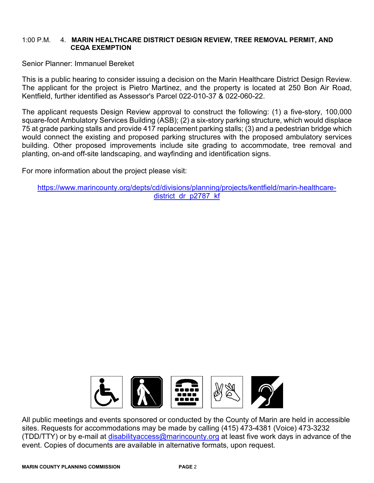#### 1:00 P.M. 4. **MARIN HEALTHCARE DISTRICT DESIGN REVIEW, TREE REMOVAL PERMIT, AND CEQA EXEMPTION**

Senior Planner: Immanuel Bereket

This is a public hearing to consider issuing a decision on the Marin Healthcare District Design Review. The applicant for the project is Pietro Martinez, and the property is located at 250 Bon Air Road, Kentfield, further identified as Assessor's Parcel 022-010-37 & 022-060-22.

The applicant requests Design Review approval to construct the following: (1) a five-story, 100,000 square-foot Ambulatory Services Building (ASB); (2) a six-story parking structure, which would displace 75 at grade parking stalls and provide 417 replacement parking stalls; (3) and a pedestrian bridge which would connect the existing and proposed parking structures with the proposed ambulatory services building. Other proposed improvements include site grading to accommodate, tree removal and planting, on-and off-site landscaping, and wayfinding and identification signs.

For more information about the project please visit:

[https://www.marincounty.org/depts/cd/divisions/planning/projects/kentfield/marin-healthcare](https://www.marincounty.org/depts/cd/divisions/planning/projects/kentfield/marin-healthcare-district_dr_p2787_kf)[district\\_dr\\_p2787\\_kf](https://www.marincounty.org/depts/cd/divisions/planning/projects/kentfield/marin-healthcare-district_dr_p2787_kf)



All public meetings and events sponsored or conducted by the County of Marin are held in accessible sites. Requests for accommodations may be made by calling (415) 473-4381 (Voice) 473-3232 (TDD/TTY) or by e-mail at [disabilityaccess@marincounty.org](mailto:disabilityaccess@marincounty.org) at least five work days in advance of the event. Copies of documents are available in alternative formats, upon request.